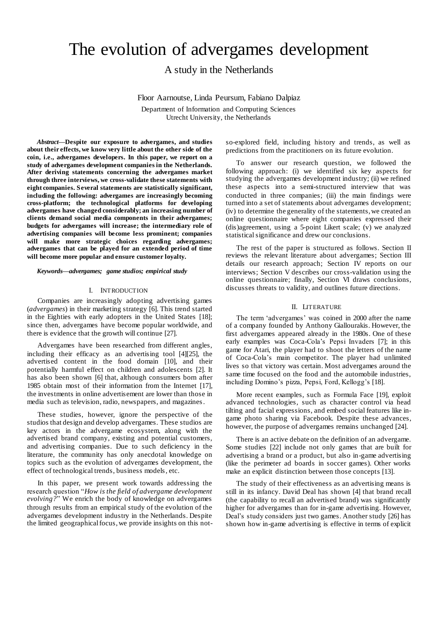# The evolution of advergames development

A study in the Netherlands

Floor Aarnoutse, Linda Peursum, Fabiano Dalpiaz

Department of Information and Computing Sciences Utrecht University, the Netherlands

*Abstract***—Despite our exposure to advergames, and studies about their effects, we know very little about the other side of the coin, i.e., advergames developers. In this paper, we report on a study of advergames development companies in the Netherlands. After deriving statements concerning the advergames market through three interviews, we cross-validate these statements with eight companies. Several statements are statistically significant, including the following: advergames are increasingly becoming cross-platform; the technological platforms for developing advergames have changed considerably; an increasing number of clients demand social media components in their advergames; budgets for advergames will increase; the intermediary role of advertising companies will become less prominent; companies will make more strategic choices regarding advergames; advergames that can be played for an extended period of time will become more popular and ensure customer loyalty.**

*Keywords—advergames; game studios; empirical study*

# I. INTRODUCTION

Companies are increasingly adopting advertising games (*advergames*) in their marketing strategy [\[6\].](#page-7-0) This trend started in the Eighties with early adopters in the United States [\[18\];](#page-7-1) since then, advergames have become popular worldwide, and there is evidence that the growth will continue [\[27\].](#page-7-2)

Advergames have been researched from different angles, including their efficacy as an advertising tool [\[4\]\[25\],](#page-7-3) the advertised content in the food domain [\[10\],](#page-7-4) and their potentially harmful effect on children and adolescents [\[2\].](#page-7-5) It has also been show[n \[6\]](#page-7-0) that, although consumers born after 1985 obtain most of their information from the Internet [\[17\],](#page-7-6) the investments in online advertisement are lower than those in media such as television, radio, newspapers, and magazines.

These studies, however, ignore the perspective of the studios that design and develop advergames. These studios are key actors in the advergame ecosystem, along with the advertised brand company, existing and potential customers, and advertising companies. Due to such deficiency in the literature, the community has only anecdotal knowledge on topics such as the evolution of advergames development, the effect of technological trends, business models, etc.

In this paper, we present work towards addressing the research question "*How is the field of advergame development evolving?*" We enrich the body of knowledge on advergames through results from an empirical study of the evolution of the advergames development industry in the Netherlands. Despite the limited geographical focus, we provide insights on this notso-explored field, including history and trends, as well as predictions from the practitioners on its future evolution.

To answer our research question, we followed the following approach: (i) we identified six key aspects for studying the advergames development industry; (ii) we refined these aspects into a semi-structured interview that was conducted in three companies; (iii) the main findings were turned into a set of statements about advergames development; (iv) to determine the generality of the statements, we created an online questionnaire where eight companies expressed their (dis)agreement, using a 5-point Likert scale; (v) we analyzed statistical significance and drew our conclusions.

The rest of the paper is structured as follows. Section [II](#page-0-0) reviews the relevant literature about advergames; Section [III](#page-1-0) details our research approach; Section [IV](#page-2-0) reports on our interviews; Section [V](#page-4-0) describes our cross-validation using the online questionnaire; finally, Section [VI](#page-6-0) draws conclusions, discusses threats to validity, and outlines future directions.

## II. LITERATURE

<span id="page-0-0"></span>The term 'advergames' was coined in 2000 after the name of a company founded by Anthony Giallourakis. However, the first advergames appeared already in the 1980s. One of these early examples was Coca-Cola's Pepsi Invaders [\[7\];](#page-7-7) in this game for Atari, the player had to shoot the letters of the name of Coca-Cola's main competitor. The player had unlimited lives so that victory was certain. Most advergames around the same time focused on the food and the automobile industries, including Domino's pizza, Pepsi, Ford, Kellogg's [\[18\].](#page-7-1) 

More recent examples, such as Formula Face [\[19\],](#page-7-8) exploit advanced technologies, such as character control via head tilting and facial expressions, and embed social features like ingame photo sharing via Facebook. Despite these advances, however, the purpose of advergames remains unchanged [\[24\]](#page-7-9).

There is an active debate on the definition of an advergame. Some studies [\[22\]](#page-7-10) include not only games that are built for advertising a brand or a product, but also in-game advertising (like the perimeter ad boards in soccer games). Other works make an explicit distinction between those concepts [\[13\]](#page-7-11).

The study of their effectiveness as an advertising means is still in its infancy. David Deal has shown [\[4\]](#page-7-3) that brand recall (the capability to recall an advertised brand) was significantly higher for advergames than for in-game advertising. However, Deal's study considers just two games. Another study [\[26\]](#page-7-12) has shown how in-game advertising is effective in terms of explicit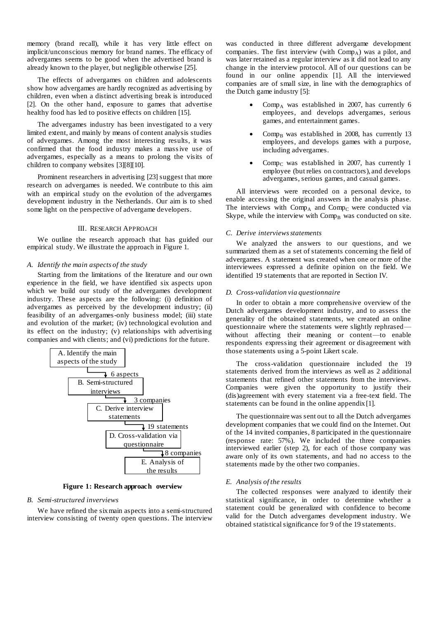memory (brand recall), while it has very little effect on implicit/unconscious memory for brand names. The efficacy of advergames seems to be good when the advertised brand is already known to the player, but negligible otherwise [\[25\].](#page-7-13)

The effects of advergames on children and adolescents show how advergames are hardly recognized as advertising by children, even when a distinct advertising break is introduced [\[2\].](#page-7-5) On the other hand, exposure to games that advertise healthy food has led to positive effects on children [\[15\]](#page-7-14).

The advergames industry has been investigated to a very limited extent, and mainly by means of content analysis studies of advergames. Among the most interesting results, it was confirmed that the food industry makes a massive use of advergames, especially as a means to prolong the visits of children to company website[s \[3\]\[8\]](#page-7-15)[\[10\].](#page-7-4) 

Prominent researchers in advertising [\[23\]](#page-7-16) suggest that more research on advergames is needed. We contribute to this aim with an empirical study on the evolution of the advergames development industry in the Netherlands. Our aim is to shed some light on the perspective of advergame developers.

## III. RESEARCH APPROACH

<span id="page-1-0"></span>We outline the research approach that has guided our empirical study. We illustrate the approach in [Figure 1.](#page-1-1)

## *A. Identify the main aspects of the study*

Starting from the limitations of the literature and our own experience in the field, we have identified six aspects upon which we build our study of the advergames development industry. These aspects are the following: (i) definition of advergames as perceived by the development industry; (ii) feasibility of an advergames-only business model; (iii) state and evolution of the market; (iv) technological evolution and its effect on the industry; (v) relationships with advertising companies and with clients; and (vi) predictions for the future.



**Figure 1: Research approach overview**

# <span id="page-1-1"></span>*B. Semi-structured inverviews*

We have refined the six main aspects into a semi-structured interview consisting of twenty open questions. The interview was conducted in three different advergame development companies. The first interview (with  $Comp_A$ ) was a pilot, and was later retained as a regular interview as it did not lead to any change in the interview protocol. All of our questions can be found in our online appendix [\[1\].](#page-7-17) All the interviewed companies are of small size, in line with the demographics of the Dutch game industry [\[5\]:](#page-7-18)

- Comp<sub>A</sub> was established in 2007, has currently  $6$ employees, and develops advergames, serious games, and entertainment games.
- $Comp_B$  was established in 2008, has currently 13 employees, and develops games with a purpose, including advergames.
- Comp<sub>C</sub> was established in 2007, has currently 1 employee (but relies on contractors), and develops advergames, serious games, and casual games.

All interviews were recorded on a personal device, to enable accessing the original answers in the analysis phase. The interviews with  $Comp_A$  and  $Comp_C$  were conducted via Skype, while the interview with  $Comp_B$  was conducted on site.

## *C. Derive interviews statements*

We analyzed the answers to our questions, and we summarized them as a set of statements concerning the field of advergames. A statement was created when one or more of the interviewees expressed a definite opinion on the field. We identified 19 statements that are reported in Sectio[n IV.](#page-2-0)

#### *D. Cross-validation via questionnaire*

In order to obtain a more comprehensive overview of the Dutch advergames development industry, and to assess the generality of the obtained statements, we created an online questionnaire where the statements were slightly rephrased without affecting their meaning or content—to enable respondents expressing their agreement or disagreement with those statements using a 5-point Likert scale.

The cross-validation questionnaire included the 19 statements derived from the interviews as well as 2 additional statements that refined other statements from the interviews. Companies were given the opportunity to justify their (dis)agreement with every statement via a free-text field. The statements can be found in the online appendix [\[1\].](#page-7-17)

The questionnaire was sent out to all the Dutch advergames development companies that we could find on the Internet. Out of the 14 invited companies, 8 participated in the questionnaire (response rate: 57%). We included the three companies interviewed earlier (step 2), for each of those company was aware only of its own statements, and had no access to the statements made by the other two companies.

## *E. Analysis of the results*

The collected responses were analyzed to identify their statistical significance, in order to determine whether a statement could be generalized with confidence to become valid for the Dutch advergames development industry. We obtained statistical significance for 9 of the 19 statements.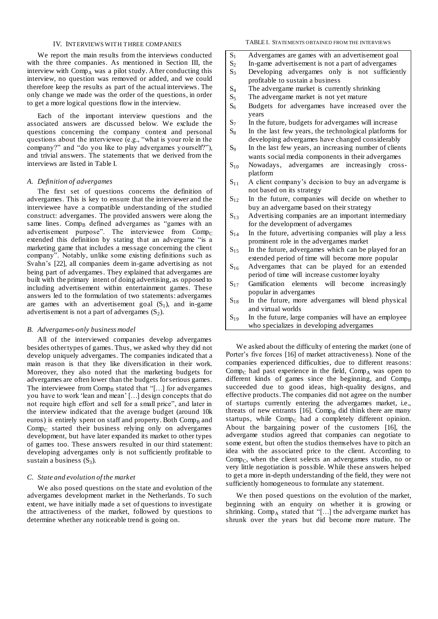# IV. INTERVIEWS WITH THREE COMPANIES

<span id="page-2-0"></span>We report the main results from the interviews conducted with the three companies. As mentioned in Section [III,](#page-1-0) the interview with  $Comp_A$  was a pilot study. After conducting this interview, no question was removed or added, and we could therefore keep the results as part of the actual interviews. The only change we made was the order of the questions, in order to get a more logical questions flow in the interview.

Each of the important interview questions and the associated answers are discussed below. We exclude the questions concerning the company context and personal questions about the interviewee (e.g., "what is your role in the company?" and "do you like to play advergames yourself?"), and trivial answers. The statements that we derived from the interviews are listed in Table I.

# *A. Definition of advergames*

The first set of questions concerns the definition of advergames. This is key to ensure that the interviewer and the interviewee have a compatible understanding of the studied construct: advergames. The provided answers were along the same lines. Comp<sub>B</sub> defined advergames as "games with an advertisement purpose". The interviewee from  $Comp_C$ extended this definition by stating that an advergame "is a marketing game that includes a message concerning the client company". Notably, unlike some existing definitions such as Svahn's [\[22\],](#page-7-10) all companies deem in-game advertising as not being part of advergames. They explained that advergames are built with the primary intent of doing advertising, as opposed to including advertisement within entertainment games. These answers led to the formulation of two statements: advergames are games with an advertisement goal  $(S_1)$ , and in-game advertisement is not a part of advergames  $(S_2)$ .

## *B. Advergames-only business model*

All of the interviewed companies develop advergames besides other types of games. Thus, we asked why they did not develop uniquely advergames. The companies indicated that a main reason is that they like diversification in their work. Moreover, they also noted that the marketing budgets for advergames are often lower than the budgets for serious games. The interviewee from  $Comp_B$  stated that "[...] for advergames you have to work 'lean and mean' […] design concepts that do not require high effort and sell for a small price", and later in the interview indicated that the average budget (around 10k euros) is entirely spent on staff and property. Both  $Comp_B$  and  $Comp_C$  started their business relying only on advergames development, but have later expanded its market to other types of games too. These answers resulted in our third statement: developing advergames only is not sufficiently profitable to sustain a business  $(S_3)$ .

#### *C. State and evolution of the market*

We also posed questions on the state and evolution of the advergames development market in the Netherlands. To such extent, we have initially made a set of questions to investigate the attractiveness of the market, followed by questions to determine whether any noticeable trend is going on.

## TABLE I. STATEMENTS OBTAINED FROM THE INTERVIEWS

- S<sup>1</sup> Advergames are games with an advertisement goal
- $S_2$  In-game advertisement is not a part of advergames<br> $S_3$  Developing advergames only is not sufficien
- Developing advergames only is not sufficiently profitable to sustain a business
- $S_4$  The advergame market is currently shrinking
- $S_5$  The advergame market is not yet mature
- $S_6$  Budgets for advergames have increased over the years
- S<sup>7</sup> In the future, budgets for advergames will increase
- $S_8$  In the last few years, the technological platforms for developing advergames have changed considerably
- S<sub>9</sub> In the last few years, an increasing number of clients wants social media components in their advergames
- $S_{10}$  Nowadays, advergames are increasingly crossplatform
- $S_{11}$  A client company's decision to buy an advergame is not based on its strategy
- $S_{12}$  In the future, companies will decide on whether to buy an advergame based on their strategy
- $S<sub>13</sub>$  Advertising companies are an important intermediary for the development of advergames
- $S_{14}$  In the future, advertising companies will play a less prominent role in the advergames market
- $S_{15}$  In the future, advergames which can be played for an extended period of time will become more popular
- $S_{16}$  Advergames that can be played for an extended period of time will increase customer loyalty
- $S_{17}$  Gamification elements will become increasingly popular in advergames
- $S_{18}$  In the future, more advergames will blend physical and virtual worlds
- $S_{19}$  In the future, large companies will have an employee who specializes in developing advergames

We asked about the difficulty of entering the market (one of Porter's five forces [\[16\]](#page-7-19) of market attractiveness). None of the companies experienced difficulties, due to different reasons: Comp<sub>C</sub> had past experience in the field, Comp<sub>A</sub> was open to different kinds of games since the beginning, and  $Comp_B$ succeeded due to good ideas, high-quality designs, and effective products. The companies did not agree on the number of startups currently entering the advergames market, i.e., threats of new entrants  $[16]$ . Comp<sub>B</sub> did think there are many startups, while  $Comp_C$  had a completely different opinion. About the bargaining power of the customers [\[16\],](#page-7-19) the advergame studios agreed that companies can negotiate to some extent, but often the studios themselves have to pitch an idea with the associated price to the client. According to  $Comp_C$ , when the client selects an advergames studio, no or very little negotiation is possible. While these answers helped to get a more in-depth understanding of the field, they were not sufficiently homogeneous to formulate any statement.

We then posed questions on the evolution of the market, beginning with an enquiry on whether it is growing or shrinking.  $Comp_A$  stated that "[...] the advergame market has shrunk over the years but did become more mature. The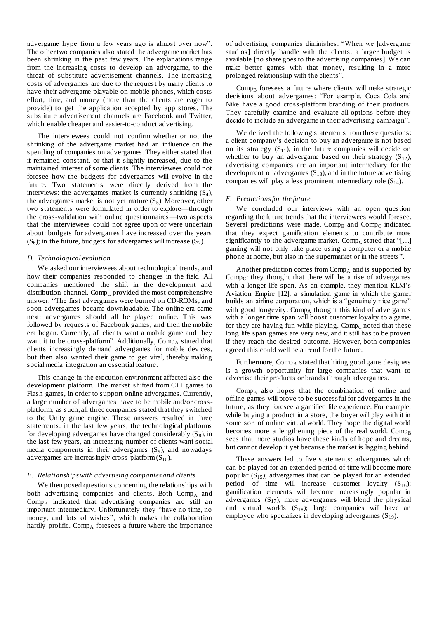advergame hype from a few years ago is almost over now". The other two companies also stated the advergame market has been shrinking in the past few years. The explanations range from the increasing costs to develop an advergame, to the threat of substitute advertisement channels. The increasing costs of advergames are due to the request by many clients to have their advergame playable on mobile phones, which costs effort, time, and money (more than the clients are eager to provide) to get the application accepted by app stores. The substitute advertisement channels are Facebook and Twitter, which enable cheaper and easier-to-conduct advertising.

The interviewees could not confirm whether or not the shrinking of the advergame market had an influence on the spending of companies on advergames. They either stated that it remained constant, or that it slightly increased, due to the maintained interest of some clients. The interviewees could not foresee how the budgets for advergames will evolve in the future. Two statements were directly derived from the interviews: the advergames market is currently shrinking  $(S_4)$ , the advergames market is not yet mature  $(S_5)$ . Moreover, other two statements were formulated in order to explore—through the cross-validation with online questionnaires—two aspects that the interviewees could not agree upon or were uncertain about: budgets for advergames have increased over the years  $(S_6)$ ; in the future, budgets for advergames will increase  $(S_7)$ .

# *D. Technological evolution*

We asked our interviewees about technological trends, and how their companies responded to changes in the field. All companies mentioned the shift in the development and distribution channel. Comp<sub>C</sub> provided the most comprehensive answer: "The first advergames were burned on CD-ROMs, and soon advergames became downloadable. The online era came next: advergames should all be played online. This was followed by requests of Facebook games, and then the mobile era began. Currently, all clients want a mobile game and they want it to be cross-platform". Additionally, Comp<sub>A</sub> stated that clients increasingly demand advergames for mobile devices, but then also wanted their game to get viral, thereby making social media integration an essential feature.

This change in the execution environment affected also the development platform. The market shifted from C++ games to Flash games, in order to support online advergames. Currently, a large number of advergames have to be mobile and/or crossplatform; as such, all three companies stated that they switched to the Unity game engine. These answers resulted in three statements: in the last few years, the technological platforms for developing advergames have changed considerably  $(S_8)$ , in the last few years, an increasing number of clients want social media components in their advergames  $(S_9)$ , and nowadays advergames are increasingly cross-platform  $(S_{10})$ .

# *E. Relationships with advertising companies and clients*

We then posed questions concerning the relationships with both advertising companies and clients. Both  $Comp_A$  and  $Comp_B$  indicated that advertising companies are still an important intermediary. Unfortunately they "have no time, no money, and lots of wishes", which makes the collaboration hardly prolific.  $Comp_A$  foresees a future where the importance

of advertising companies diminishes: "When we [advergame studios] directly handle with the clients, a larger budget is available [no share goes to the advertising companies]. We can make better games with that money, resulting in a more prolonged relationship with the clients".

 $Comp_B$  foresees a future where clients will make strategic decisions about advergames: "For example, Coca Cola and Nike have a good cross-platform branding of their products. They carefully examine and evaluate all options before they decide to include an advergame in their advertising campaign".

We derived the following statements from these questions: a client company's decision to buy an advergame is not based on its strategy  $(S_{11})$ , in the future companies will decide on whether to buy an advergame based on their strategy  $(S_{12})$ , advertising companies are an important intermediary for the development of advergames  $(S_{13})$ , and in the future advertising companies will play a less prominent intermediary role  $(S_{14})$ .

## *F. Predictions for the future*

We concluded our interviews with an open question regarding the future trends that the interviewees would foresee. Several predictions were made. Comp<sub>B</sub> and Comp<sub>C</sub> indicated that they expect gamification elements to contribute more significantly to the advergame market. Comp<sub>C</sub> stated that "[...] gaming will not only take place using a computer or a mobile phone at home, but also in the supermarket or in the streets".

Another prediction comes from  $Comp_A$  and is supported by Comp<sub>C</sub>: they thought that there will be a rise of advergames with a longer life span. As an example, they mention KLM's Aviation Empire [\[12\],](#page-7-20) a simulation game in which the gamer builds an airline corporation, which is a "genuinely nice game" with good longevity.  $Comp_A$  thought this kind of advergames with a longer time span will boost customer loyalty to a game, for they are having fun while playing. Comp<sub>C</sub> noted that these long life span games are very new, and it still has to be proven if they reach the desired outcome. However, both companies agreed this could well be a trend for the future.

Furthermore,  $Comp_B$  stated that hiring good game designers is a growth opportunity for large companies that want to advertise their products or brands through advergames.

 $Comp<sub>B</sub>$  also hopes that the combination of online and offline games will prove to be successful for advergames in the future, as they foresee a gamified life experience. For example, while buying a product in a store, the buyer will play with it in some sort of online virtual world. They hope the digital world becomes more a lengthening piece of the real world.  $Comp_B$ sees that more studios have these kinds of hope and dreams, but cannot develop it yet because the market is lagging behind.

These answers led to five statements: advergames which can be played for an extended period of time will become more popular  $(S_{15})$ ; advergames that can be played for an extended period of time will increase customer loyalty  $(S_{16})$ ; gamification elements will become increasingly popular in advergames  $(S_{17})$ ; more advergames will blend the physical and virtual worlds  $(S_{18})$ ; large companies will have an employee who specializes in developing advergames  $(S_{19})$ .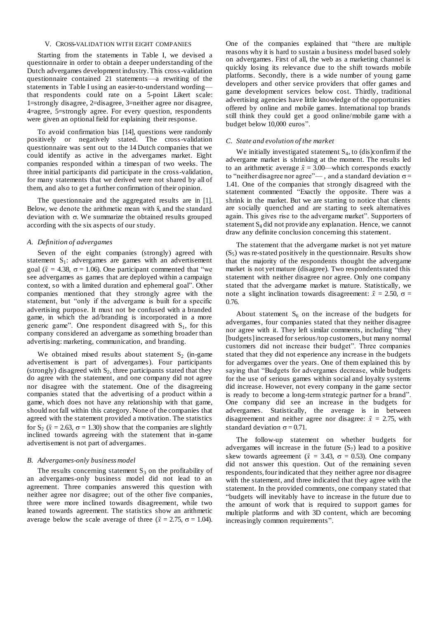# V. CROSS-VALIDATION WITH EIGHT COMPANIES

<span id="page-4-0"></span>Starting from the statements in Table I, we devised a questionnaire in order to obtain a deeper understanding of the Dutch advergames development industry. This cross-validation questionnaire contained 21 statements—a rewriting of the statements in Table I using an easier-to-understand wording that respondents could rate on a 5-point Likert scale: 1=strongly disagree, 2=disagree, 3=neither agree nor disagree, 4=agree, 5=strongly agree. For every question, respondents were given an optional field for explaining their response.

To avoid confirmation bias [\[14\],](#page-7-21) questions were randomly positively or negatively stated. The cross-validation questionnaire was sent out to the 14 Dutch companies that we could identify as active in the advergames market. Eight companies responded within a timespan of two weeks. The three initial participants did participate in the cross-validation, for many statements that we derived were not shared by all of them, and also to get a further confirmation of their opinion.

The questionnaire and the aggregated results are i[n \[1\].](#page-7-17) Below, we denote the arithmetic mean with  $\bar{x}$  and the standard deviation with  $\sigma$ . We summarize the obtained results grouped according with the six aspects of our study.

# *A. Definition of advergames*

Seven of the eight companies (strongly) agreed with statement  $S_1$ : advergames are games with an advertisement goal ( $\bar{x}$  = 4.38,  $\sigma$  = 1.06). One participant commented that "we see advergames as games that are deployed within a campaign context, so with a limited duration and ephemeral goal". Other companies mentioned that they strongly agree with the statement, but "only if the advergame is built for a specific advertising purpose. It must not be confused with a branded game, in which the ad/branding is incorporated in a more generic game". One respondent disagreed with  $S_1$ , for this company considered an advergame as something broader than advertising: marketing, communication, and branding.

We obtained mixed results about statement  $S_2$  (in-game advertisement is part of advergames). Four participants (strongly) disagreed with  $S_2$ , three participants stated that they do agree with the statement, and one company did not agree nor disagree with the statement. One of the disagreeing companies stated that the advertising of a product within a game, which does not have any relationship with that game, should not fall within this category. None of the companies that agreed with the statement provided a motivation. The statistics for  $S_2$  ( $\bar{x}$  = 2.63,  $\sigma$  = 1.30) show that the companies are slightly inclined towards agreeing with the statement that in-game advertisement is not part of advergames.

# *B. Advergames-only business model*

The results concerning statement  $S_3$  on the profitability of an advergames-only business model did not lead to an agreement. Three companies answered this question with neither agree nor disagree; out of the other five companies, three were more inclined towards disagreement, while two leaned towards agreement. The statistics show an arithmetic average below the scale average of three ( $\bar{x} = 2.75$ ,  $\sigma = 1.04$ ).

One of the companies explained that "there are multiple reasons why it is hard to sustain a business model based solely on advergames. First of all, the web as a marketing channel is quickly losing its relevance due to the shift towards mobile platforms. Secondly, there is a wide number of young game developers and other service providers that offer games and game development services below cost. Thirdly, traditional advertising agencies have little knowledge of the opportunities offered by online and mobile games. International top brands still think they could get a good online/mobile game with a budget below 10,000 euros".

# *C. State and evolution of the market*

We initially investigated statement  $S<sub>4</sub>$ , to (dis)confirm if the advergame market is shrinking at the moment. The results led to an arithmetic average  $\bar{x} = 3.00$ —which corresponds exactly to "neither disagree nor agree"—, and a standard deviation  $\sigma$  = 1.41. One of the companies that strongly disagreed with the statement commented "Exactly the opposite. There was a shrink in the market. But we are starting to notice that clients are socially quenched and are starting to seek alternatives again. This gives rise to the advergame market". Supporters of statement  $S_4$  did not provide any explanation. Hence, we cannot draw any definite conclusion concerning this statement.

The statement that the advergame market is not yet mature  $(S<sub>5</sub>)$  was re-stated positively in the questionnaire. Results show that the majority of the respondents thought the advergame market is not yet mature (disagree). Two respondents rated this statement with neither disagree nor agree. Only one company stated that the advergame market is mature. Statistically, we note a slight inclination towards disagreement:  $\bar{x} = 2.50$ ,  $\sigma =$ 0.76.

About statement  $S_6$  on the increase of the budgets for advergames, four companies stated that they neither disagree nor agree with it. They left similar comments, including "they [budgets] increased for serious/top customers, but many normal customers did not increase their budget". Three companies stated that they did not experience any increase in the budgets for advergames over the years. One of them explained this by saying that "Budgets for advergames decrease, while budgets for the use of serious games within social and loyalty systems did increase. However, not every company in the game sector is ready to become a long-term strategic partner for a brand". One company did see an increase in the budgets for advergames. Statistically, the average is in between disagreement and neither agree nor disagree:  $\bar{x} = 2.75$ , with standard deviation  $\sigma = 0.71$ .

The follow-up statement on whether budgets for advergames will increase in the future  $(S_7)$  lead to a positive skew towards agreement ( $\bar{x}$  = 3.43,  $\sigma$  = 0.53). One company did not answer this question. Out of the remaining seven respondents, four indicated that they neither agree nor disagree with the statement, and three indicated that they agree with the statement. In the provided comments, one company stated that "budgets will inevitably have to increase in the future due to the amount of work that is required to support games for multiple platforms and with 3D content, which are becoming increasingly common requirements".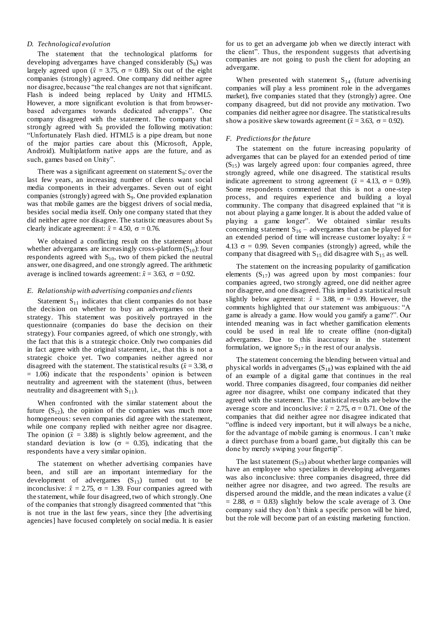# *D. Technological evolution*

The statement that the technological platforms for developing advergames have changed considerably  $(S_8)$  was largely agreed upon ( $\bar{x} = 3.75$ ,  $\sigma = 0.89$ ). Six out of the eight companies (strongly) agreed. One company did neither agree nor disagree, because "the real changes are not that significant. Flash is indeed being replaced by Unity and HTML5. However, a more significant evolution is that from browserbased advergames towards dedicated adverapps". One company disagreed with the statement. The company that strongly agreed with  $S_8$  provided the following motivation: "Unfortunately Flash died. HTML5 is a pipe dream, but none of the major parties care about this (Microsoft, Apple, Android). Multiplatform native apps are the future, and as such, games based on Unity".

There was a significant agreement on statement  $S<sub>9</sub>$ : over the last few years, an increasing number of clients want social media components in their advergames. Seven out of eight companies (strongly) agreed with S9. One provided explanation was that mobile games are the biggest drivers of social media, besides social media itself. Only one company stated that they did neither agree nor disagree. The statistic measures about  $S_9$ clearly indicate agreement:  $\bar{x} = 4.50$ ,  $\sigma = 0.76$ .

We obtained a conflicting result on the statement about whether advergames are increasingly cross-platform $(S_{10})$ : four respondents agreed with  $S_{10}$ , two of them picked the neutral answer, one disagreed, and one strongly agreed. The arithmetic average is inclined towards agreement:  $\bar{x} = 3.63$ ,  $\sigma = 0.92$ .

# *E. Relationship with advertising companies and clients*

Statement  $S_{11}$  indicates that client companies do not base the decision on whether to buy an advergames on their strategy. This statement was positively portrayed in the questionnaire (companies do base the decision on their strategy). Four companies agreed, of which one strongly, with the fact that this is a strategic choice. Only two companies did in fact agree with the original statement, i.e., that this is not a strategic choice yet. Two companies neither agreed nor disagreed with the statement. The statistical results ( $\bar{x}$  = 3.38,  $\sigma$ ) = 1.06) indicate that the respondents' opinion is between neutrality and agreement with the statement (thus, between neutrality and disagreement with  $S_{11}$ ).

When confronted with the similar statement about the future  $(S_{12})$ , the opinion of the companies was much more homogeneous: seven companies did agree with the statement, while one company replied with neither agree nor disagree. The opinion  $(\bar{x} = 3.88)$  is slightly below agreement, and the standard deviation is low ( $\sigma = 0.35$ ), indicating that the respondents have a very similar opinion.

The statement on whether advertising companies have been, and still are an important intermediary for the development of advergames  $(S_{13})$  turned out to be inconclusive:  $\bar{x} = 2.75$ ,  $\sigma = 1.39$ . Four companies agreed with the statement, while four disagreed, two of which strongly. One of the companies that strongly disagreed commented that "this is not true in the last few years, since they [the advertising agencies] have focused completely on social media. It is easier for us to get an advergame job when we directly interact with the client". Thus, the respondent suggests that advertising companies are not going to push the client for adopting an advergame.

When presented with statement  $S_{14}$  (future advertising companies will play a less prominent role in the advergames market), five companies stated that they (strongly) agree. One company disagreed, but did not provide any motivation. Two companies did neither agree nor disagree. The statistical results show a positive skew towards agreement ( $\bar{x} = 3.63$ ,  $\sigma = 0.92$ ).

# *F. Predictions for the future*

The statement on the future increasing popularity of advergames that can be played for an extended period of time  $(S_{15})$  was largely agreed upon: four companies agreed, three strongly agreed, while one disagreed. The statistical results indicate agreement to strong agreement ( $\bar{x} = 4.13$ ,  $\sigma = 0.99$ ). Some respondents commented that this is not a one-step process, and requires experience and building a loyal community. The company that disagreed explained that "it is not about playing a game longer. It is about the added value of playing a game longer". We obtained similar results concerning statement  $S_{16}$  – advergames that can be played for an extended period of time will increase customer loyalty:  $\bar{x}$  = 4.13  $\sigma$  = 0.99. Seven companies (strongly) agreed, while the company that disagreed with  $S_{15}$  did disagree with  $S_{15}$  as well.

The statement on the increasing popularity of gamification elements  $(S_{17})$  was agreed upon by most companies: four companies agreed, two strongly agreed, one did neither agree nor disagree, and one disagreed. This implied a statistical result slightly below agreement:  $\bar{x} = 3.88$ ,  $\sigma = 0.99$ . However, the comments highlighted that our statement was ambiguous: "A game is already a game. How would you gamify a game?". Our intended meaning was in fact whether gamification elements could be used in real life to create offline (non-digital) advergames. Due to this inaccuracy in the statement formulation, we ignore  $S_{17}$  in the rest of our analysis.

The statement concerning the blending between virtual and physical worlds in advergames  $(S_{18})$  was explained with the aid of an example of a digital game that continues in the real world. Three companies disagreed, four companies did neither agree nor disagree, whilst one company indicated that they agreed with the statement. The statistical results are below the average score and inconclusive:  $\bar{x} = 2.75$ ,  $\sigma = 0.71$ . One of the companies that did neither agree nor disagree indicated that "offline is indeed very important, but it will always be a niche, for the advantage of mobile gaming is enormous. I can't make a direct purchase from a board game, but digitally this can be done by merely swiping your fingertip".

The last statement  $(S_{19})$  about whether large companies will have an employee who specializes in developing advergames was also inconclusive: three companies disagreed, three did neither agree nor disagree, and two agreed. The results are dispersed around the middle, and the mean indicates a value  $(\bar{x})$  $= 2.88$ ,  $\sigma = 0.83$ ) slightly below the scale average of 3. One company said they don't think a specific person will be hired, but the role will become part of an existing marketing function.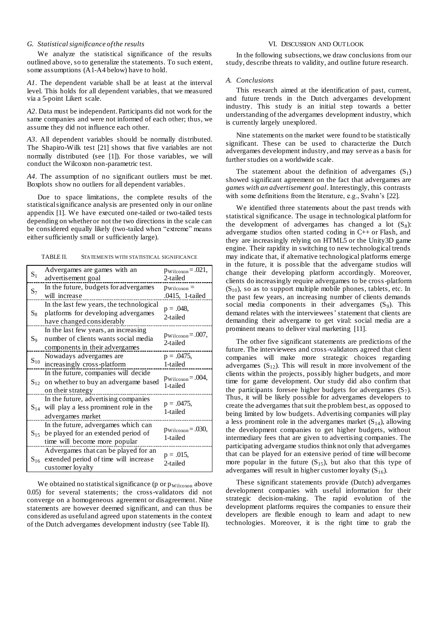# *G. Statistical significance of the results*

We analyze the statistical significance of the results outlined above, so to generalize the statements. To such extent, some assumptions (A1-A4 below) have to hold.

*A1*. The dependent variable shall be at least at the interval level. This holds for all dependent variables, that we measured via a 5-point Likert scale.

*A2*. Data must be independent. Participants did not work for the same companies and were not informed of each other; thus, we assume they did not influence each other.

*A3*. All dependent variables should be normally distributed. The Shapiro-Wilk test [\[21\]](#page-7-22) shows that five variables are not normally distributed (see [\[1\]\)](#page-7-17). For those variables, we will conduct the Wilcoxon non-parametric test.

*A4*. The assumption of no significant outliers must be met. Boxplots show no outliers for all dependent variables.

Due to space limitations, the complete results of the statistical significance analysis are presented only in our online appendix [\[1\].](#page-7-17) We have executed one-tailed or two-tailed tests depending on whether or not the two directions in the scale can be considered equally likely (two-tailed when "extreme" means either sufficiently small or sufficiently large).

TABLE II. STATEMENTS WITH STATISTICAL SIGNIFICANCE

| $S_1$    | Advergames are games with an<br>advertisement goal                                                             | $p_{\text{Wilcoxon}} = .021,$<br>2-tailed  |
|----------|----------------------------------------------------------------------------------------------------------------|--------------------------------------------|
| $S_7$    | In the future, budgets for advergames<br>will increase                                                         | $p_{\text{Wilcoxon}} =$<br>.0415, 1-tailed |
| $S_8$    | In the last few years, the technological<br>platforms for developing advergames<br>have changed considerably   | $p = .048,$<br>2-tailed                    |
| $S_9$    | In the last few years, an increasing<br>number of clients wants social media<br>components in their advergames | $p_{\text{Wilcoxon}} = .007$ ,<br>2-tailed |
| $S_{10}$ | Nowadays advergames are<br>increasingly cross-platform                                                         | $p = .0475,$<br>1-tailed                   |
|          | In the future, companies will decide<br>$S_{12}$ on whether to buy an advergame based<br>on their strategy     | $p_{\text{Wilcoxon}} = .004,$<br>1-tailed  |
| $S_{14}$ | In the future, advertising companies<br>will play a less prominent role in the<br>advergames market            | $p = .0475,$<br>1-tailed                   |
| $S_{15}$ | In the future, advergames which can<br>be played for an extended period of<br>time will become more popular    | $p_{\text{Wilcoxon}} = .030,$<br>1-tailed  |
| $S_{16}$ | Advergames that can be played for an<br>extended period of time will increase<br>customer loyalty              | $p = .015$ ,<br>2-tailed                   |

We obtained no statistical significance ( $p$  or  $p_{\text{Wilcoxon}}$  above 0.05) for several statements; the cross-validators did not converge on a homogeneous agreement or disagreement. Nine statements are however deemed significant, and can thus be considered as useful and agreed upon statements in the context of the Dutch advergames development industry (see Table II).

# VI. DISCUSSION AND OUTLOOK

<span id="page-6-0"></span>In the following subsections, we draw conclusions from our study, describe threats to validity, and outline future research.

## *A. Conclusions*

This research aimed at the identification of past, current, and future trends in the Dutch advergames development industry. This study is an initial step towards a better understanding of the advergames development industry, which is currently largely unexplored.

Nine statements on the market were found to be statistically significant. These can be used to characterize the Dutch advergames development industry, and may serve as a basis for further studies on a worldwide scale.

The statement about the definition of advergames  $(S_1)$ showed significant agreement on the fact that advergames are *games with an advertisement goal*. Interestingly, this contrasts with some definitions from the literature, e.g., Svahn's [\[22\].](#page-7-10)

We identified three statements about the past trends with statistical significance. The usage in technological platform for the development of advergames has changed a lot  $(S_8)$ : advergame studios often started coding in C++ or Flash, and they are increasingly relying on HTML5 or the Unity3D game engine. Their rapidity in switching to new technological trends may indicate that, if alternative technological platforms emerge in the future, it is possible that the advergame studios will change their developing platform accordingly. Moreover, clients do increasingly require advergames to be cross-platform  $(S_{10})$ , so as to support multiple mobile phones, tablets, etc. In the past few years, an increasing number of clients demands social media components in their advergames  $(S_9)$ . This demand relates with the interviewees' statement that clients are demanding their advergame to get viral: social media are a prominent means to deliver viral marketing [\[11\].](#page-7-23)

The other five significant statements are predictions of the future. The interviewees and cross-validators agreed that client companies will make more strategic choices regarding advergames  $(S_{12})$ . This will result in more involvement of the clients within the projects, possibly higher budgets, and more time for game development. Our study did also confirm that the participants foresee higher budgets for advergames  $(S_7)$ . Thus, it will be likely possible for advergames developers to create the advergames that suit the problem best, as opposed to being limited by low budgets. Advertising companies will play a less prominent role in the advergames market  $(S_{14})$ , allowing the development companies to get higher budgets, without intermediary fees that are given to advertising companies. The participating advergame studios think not only that advergames that can be played for an extensive period of time will become more popular in the future  $(S_{15})$ , but also that this type of advergames will result in higher customer loyalty  $(S_{16})$ .

These significant statements provide (Dutch) advergames development companies with useful information for their strategic decision-making. The rapid evolution of the development platforms requires the companies to ensure their developers are flexible enough to learn and adapt to new technologies. Moreover, it is the right time to grab the